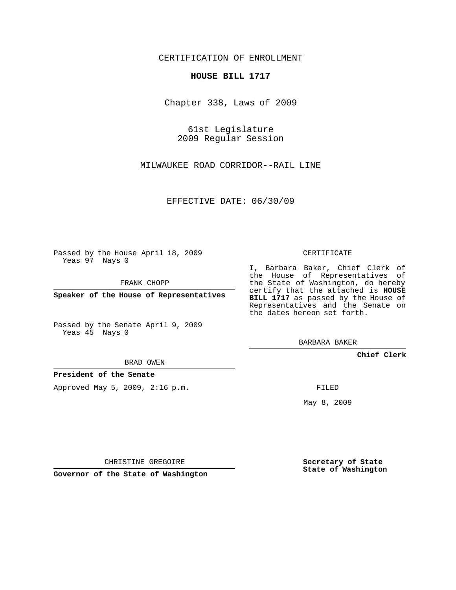CERTIFICATION OF ENROLLMENT

## **HOUSE BILL 1717**

Chapter 338, Laws of 2009

61st Legislature 2009 Regular Session

MILWAUKEE ROAD CORRIDOR--RAIL LINE

EFFECTIVE DATE: 06/30/09

Passed by the House April 18, 2009 Yeas 97 Nays 0

FRANK CHOPP

**Speaker of the House of Representatives**

Passed by the Senate April 9, 2009 Yeas 45 Nays 0

BRAD OWEN

**President of the Senate**

Approved May 5, 2009, 2:16 p.m.

CERTIFICATE

I, Barbara Baker, Chief Clerk of the House of Representatives of the State of Washington, do hereby certify that the attached is **HOUSE BILL 1717** as passed by the House of Representatives and the Senate on the dates hereon set forth.

BARBARA BAKER

**Chief Clerk**

FILED

May 8, 2009

**Secretary of State State of Washington**

CHRISTINE GREGOIRE

**Governor of the State of Washington**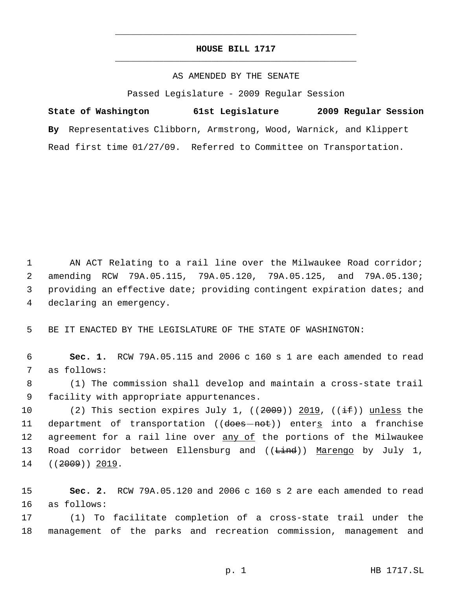## **HOUSE BILL 1717** \_\_\_\_\_\_\_\_\_\_\_\_\_\_\_\_\_\_\_\_\_\_\_\_\_\_\_\_\_\_\_\_\_\_\_\_\_\_\_\_\_\_\_\_\_

\_\_\_\_\_\_\_\_\_\_\_\_\_\_\_\_\_\_\_\_\_\_\_\_\_\_\_\_\_\_\_\_\_\_\_\_\_\_\_\_\_\_\_\_\_

## AS AMENDED BY THE SENATE

Passed Legislature - 2009 Regular Session

**State of Washington 61st Legislature 2009 Regular Session By** Representatives Clibborn, Armstrong, Wood, Warnick, and Klippert Read first time 01/27/09. Referred to Committee on Transportation.

 AN ACT Relating to a rail line over the Milwaukee Road corridor; amending RCW 79A.05.115, 79A.05.120, 79A.05.125, and 79A.05.130; providing an effective date; providing contingent expiration dates; and declaring an emergency.

5 BE IT ENACTED BY THE LEGISLATURE OF THE STATE OF WASHINGTON:

 6 **Sec. 1.** RCW 79A.05.115 and 2006 c 160 s 1 are each amended to read 7 as follows:

 8 (1) The commission shall develop and maintain a cross-state trail 9 facility with appropriate appurtenances.

10 (2) This section expires July 1,  $((2009))$  2019,  $((\pm \text{f}))$  unless the 11 department of transportation ((does-not)) enters into a franchise 12 agreement for a rail line over any of the portions of the Milwaukee 13 Road corridor between Ellensburg and ((Lind)) Marengo by July 1, 14 ((<del>2009</del>)) 2019.

15 **Sec. 2.** RCW 79A.05.120 and 2006 c 160 s 2 are each amended to read 16 as follows:

17 (1) To facilitate completion of a cross-state trail under the 18 management of the parks and recreation commission, management and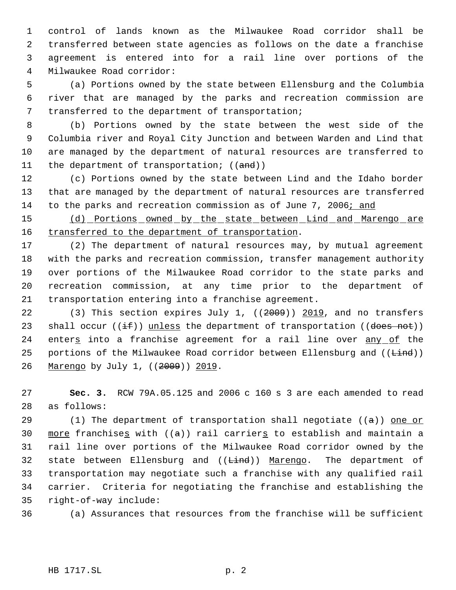control of lands known as the Milwaukee Road corridor shall be transferred between state agencies as follows on the date a franchise agreement is entered into for a rail line over portions of the Milwaukee Road corridor:

 (a) Portions owned by the state between Ellensburg and the Columbia river that are managed by the parks and recreation commission are transferred to the department of transportation;

 (b) Portions owned by the state between the west side of the Columbia river and Royal City Junction and between Warden and Lind that are managed by the department of natural resources are transferred to 11 the department of transportation; ((and))

 (c) Portions owned by the state between Lind and the Idaho border that are managed by the department of natural resources are transferred to the parks and recreation commission as of June 7, 2006; and

15 (d) Portions owned by the state between Lind and Marengo are 16 transferred to the department of transportation.

 (2) The department of natural resources may, by mutual agreement with the parks and recreation commission, transfer management authority over portions of the Milwaukee Road corridor to the state parks and recreation commission, at any time prior to the department of transportation entering into a franchise agreement.

22 (3) This section expires July 1, ((2009)) 2019, and no transfers 23 shall occur  $((if))$  unless the department of transportation  $((does not))$ 24 enters into a franchise agreement for a rail line over any of the 25 portions of the Milwaukee Road corridor between Ellensburg and (( $\frac{1}{\text{find}}$ )) Marengo by July 1, ((2009)) 2019.

 **Sec. 3.** RCW 79A.05.125 and 2006 c 160 s 3 are each amended to read as follows:

29 (1) The department of transportation shall negotiate  $((a))$  one or 30 more franchises with  $((a))$  rail carriers to establish and maintain a rail line over portions of the Milwaukee Road corridor owned by the 32 state between Ellensburg and ((<del>Lind</del>)) Marengo. The department of transportation may negotiate such a franchise with any qualified rail carrier. Criteria for negotiating the franchise and establishing the right-of-way include:

(a) Assurances that resources from the franchise will be sufficient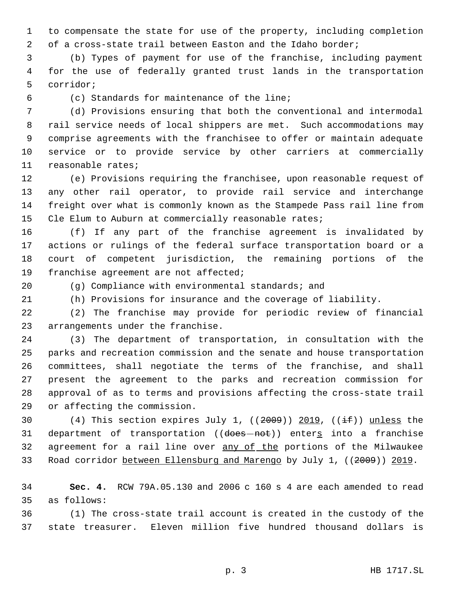to compensate the state for use of the property, including completion of a cross-state trail between Easton and the Idaho border;

 (b) Types of payment for use of the franchise, including payment for the use of federally granted trust lands in the transportation corridor;

(c) Standards for maintenance of the line;

 (d) Provisions ensuring that both the conventional and intermodal rail service needs of local shippers are met. Such accommodations may comprise agreements with the franchisee to offer or maintain adequate service or to provide service by other carriers at commercially reasonable rates;

 (e) Provisions requiring the franchisee, upon reasonable request of any other rail operator, to provide rail service and interchange freight over what is commonly known as the Stampede Pass rail line from Cle Elum to Auburn at commercially reasonable rates;

 (f) If any part of the franchise agreement is invalidated by actions or rulings of the federal surface transportation board or a court of competent jurisdiction, the remaining portions of the franchise agreement are not affected;

(g) Compliance with environmental standards; and

(h) Provisions for insurance and the coverage of liability.

 (2) The franchise may provide for periodic review of financial arrangements under the franchise.

 (3) The department of transportation, in consultation with the parks and recreation commission and the senate and house transportation committees, shall negotiate the terms of the franchise, and shall present the agreement to the parks and recreation commission for approval of as to terms and provisions affecting the cross-state trail or affecting the commission.

30 (4) This section expires July 1,  $((2009))$  2019,  $((\pm \text{f}))$  unless the 31 department of transportation ((does-not)) enters into a franchise 32 agreement for a rail line over any of the portions of the Milwaukee 33 Road corridor between Ellensburg and Marengo by July 1, ((2009)) 2019.

 **Sec. 4.** RCW 79A.05.130 and 2006 c 160 s 4 are each amended to read as follows:

 (1) The cross-state trail account is created in the custody of the state treasurer. Eleven million five hundred thousand dollars is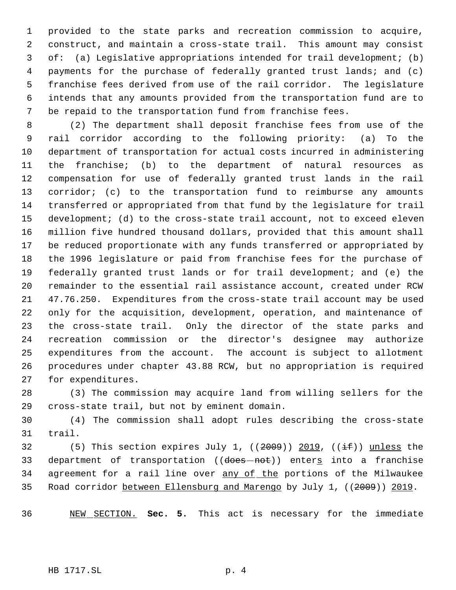provided to the state parks and recreation commission to acquire, construct, and maintain a cross-state trail. This amount may consist of: (a) Legislative appropriations intended for trail development; (b) payments for the purchase of federally granted trust lands; and (c) franchise fees derived from use of the rail corridor. The legislature intends that any amounts provided from the transportation fund are to be repaid to the transportation fund from franchise fees.

 (2) The department shall deposit franchise fees from use of the rail corridor according to the following priority: (a) To the department of transportation for actual costs incurred in administering the franchise; (b) to the department of natural resources as compensation for use of federally granted trust lands in the rail corridor; (c) to the transportation fund to reimburse any amounts transferred or appropriated from that fund by the legislature for trail development; (d) to the cross-state trail account, not to exceed eleven million five hundred thousand dollars, provided that this amount shall be reduced proportionate with any funds transferred or appropriated by the 1996 legislature or paid from franchise fees for the purchase of federally granted trust lands or for trail development; and (e) the remainder to the essential rail assistance account, created under RCW 47.76.250. Expenditures from the cross-state trail account may be used only for the acquisition, development, operation, and maintenance of the cross-state trail. Only the director of the state parks and recreation commission or the director's designee may authorize expenditures from the account. The account is subject to allotment procedures under chapter 43.88 RCW, but no appropriation is required for expenditures.

 (3) The commission may acquire land from willing sellers for the cross-state trail, but not by eminent domain.

 (4) The commission shall adopt rules describing the cross-state trail.

32 (5) This section expires July 1,  $((2009))$  2019,  $((\pm \text{f}))$  unless the 33 department of transportation ((does-not)) enters into a franchise 34 agreement for a rail line over any of the portions of the Milwaukee Road corridor between Ellensburg and Marengo by July 1, ((2009)) 2019.

NEW SECTION. **Sec. 5.** This act is necessary for the immediate